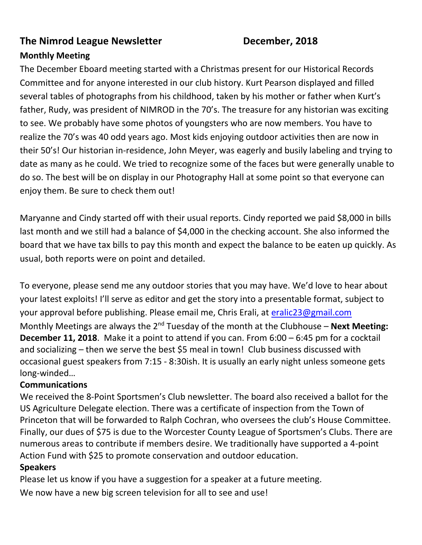#### **The Nimrod League Newsletter December, 2018**

#### **Monthly Meeting**

The December Eboard meeting started with a Christmas present for our Historical Records Committee and for anyone interested in our club history. Kurt Pearson displayed and filled several tables of photographs from his childhood, taken by his mother or father when Kurt's father, Rudy, was president of NIMROD in the 70's. The treasure for any historian was exciting to see. We probably have some photos of youngsters who are now members. You have to realize the 70's was 40 odd years ago. Most kids enjoying outdoor activities then are now in their 50's! Our historian in-residence, John Meyer, was eagerly and busily labeling and trying to date as many as he could. We tried to recognize some of the faces but were generally unable to do so. The best will be on display in our Photography Hall at some point so that everyone can enjoy them. Be sure to check them out!

Maryanne and Cindy started off with their usual reports. Cindy reported we paid \$8,000 in bills last month and we still had a balance of \$4,000 in the checking account. She also informed the board that we have tax bills to pay this month and expect the balance to be eaten up quickly. As usual, both reports were on point and detailed.

To everyone, please send me any outdoor stories that you may have. We'd love to hear about your latest exploits! I'll serve as editor and get the story into a presentable format, subject to your approval before publishing. Please email me, Chris Erali, at [eralic23@gmail.com](mailto:eralic23@gmail.com) Monthly Meetings are always the 2<sup>nd</sup> Tuesday of the month at the Clubhouse – **Next Meeting: December 11, 2018**. Make it a point to attend if you can. From 6:00 – 6:45 pm for a cocktail and socializing – then we serve the best \$5 meal in town! Club business discussed with occasional guest speakers from 7:15 - 8:30ish. It is usually an early night unless someone gets long-winded…

#### **Communications**

We received the 8-Point Sportsmen's Club newsletter. The board also received a ballot for the US Agriculture Delegate election. There was a certificate of inspection from the Town of Princeton that will be forwarded to Ralph Cochran, who oversees the club's House Committee. Finally, our dues of \$75 is due to the Worcester County League of Sportsmen's Clubs. There are numerous areas to contribute if members desire. We traditionally have supported a 4-point Action Fund with \$25 to promote conservation and outdoor education.

#### **Speakers**

Please let us know if you have a suggestion for a speaker at a future meeting.

We now have a new big screen television for all to see and use!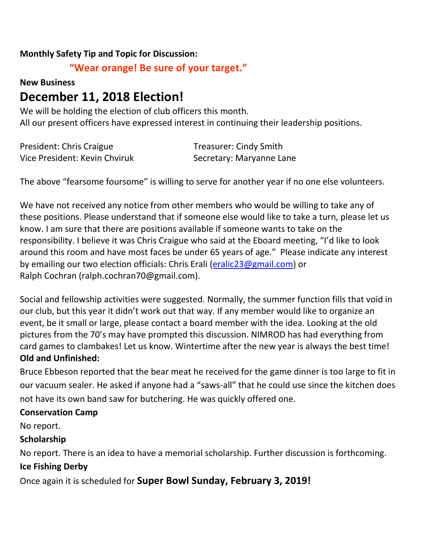#### **Monthly Safety Tip and Topic for Discussion:**

#### **"Wear orange! Be sure of your target."**

#### **New Business**

## **December 11, 2018 Election!**

We will be holding the election of club officers this month. All our present officers have expressed interest in continuing their leadership positions.

| President: Chris Craigue      | <b>Treasurer: Cindy Smith</b> |
|-------------------------------|-------------------------------|
| Vice President: Kevin Chviruk | Secretary: Maryanne Lane      |

The above "fearsome foursome" is willing to serve for another year if no one else volunteers.

We have not received any notice from other members who would be willing to take any of these positions. Please understand that if someone else would like to take a turn, please let us know. I am sure that there are positions available if someone wants to take on the responsibility. I believe it was Chris Craigue who said at the Eboard meeting, "I'd like to look around this room and have most faces be under 65 years of age." Please indicate any interest by emailing our two election officials: Chris Erali [\(eralic23@gmail.com\)](mailto:eralic23@gmail.com) or Ralph Cochran (ralph.cochran70@gmail.com).

Social and fellowship activities were suggested. Normally, the summer function fills that void in our club, but this year it didn't work out that way. If any member would like to organize an event, be it small or large, please contact a board member with the idea. Looking at the old pictures from the 70's may have prompted this discussion. NIMROD has had everything from card games to clambakes! Let us know. Wintertime after the new year is always the best time! **Old and Unfinished:**

Bruce Ebbeson reported that the bear meat he received for the game dinner is too large to fit in our vacuum sealer. He asked if anyone had a "saws-all" that he could use since the kitchen does not have its own band saw for butchering. He was quickly offered one.

#### **Conservation Camp**

No report.

#### **Scholarship**

No report. There is an idea to have a memorial scholarship. Further discussion is forthcoming. **Ice Fishing Derby**

Once again it is scheduled for **Super Bowl Sunday, February 3, 2019!**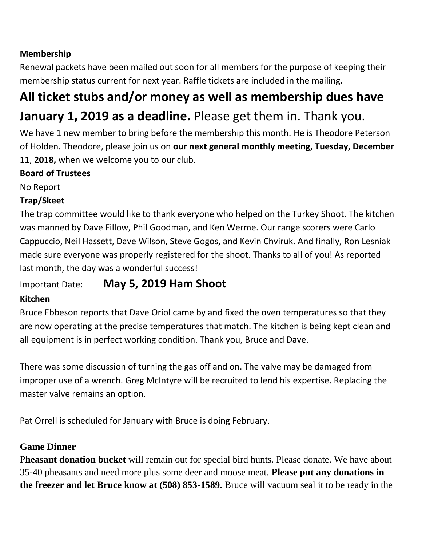### **Membership**

Renewal packets have been mailed out soon for all members for the purpose of keeping their membership status current for next year. Raffle tickets are included in the mailing**.** 

# **All ticket stubs and/or money as well as membership dues have**

## **January 1, 2019 as a deadline.** Please get them in. Thank you.

We have 1 new member to bring before the membership this month. He is Theodore Peterson of Holden. Theodore, please join us on **our next general monthly meeting, Tuesday, December 11**, **2018,** when we welcome you to our club.

#### **Board of Trustees**

No Report

#### **Trap/Skeet**

The trap committee would like to thank everyone who helped on the Turkey Shoot. The kitchen was manned by Dave Fillow, Phil Goodman, and Ken Werme. Our range scorers were Carlo Cappuccio, Neil Hassett, Dave Wilson, Steve Gogos, and Kevin Chviruk. And finally, Ron Lesniak made sure everyone was properly registered for the shoot. Thanks to all of you! As reported last month, the day was a wonderful success!

## Important Date: **May 5, 2019 Ham Shoot**

#### **Kitchen**

Bruce Ebbeson reports that Dave Oriol came by and fixed the oven temperatures so that they are now operating at the precise temperatures that match. The kitchen is being kept clean and all equipment is in perfect working condition. Thank you, Bruce and Dave.

There was some discussion of turning the gas off and on. The valve may be damaged from improper use of a wrench. Greg McIntyre will be recruited to lend his expertise. Replacing the master valve remains an option.

Pat Orrell is scheduled for January with Bruce is doing February.

#### **Game Dinner**

P**heasant donation bucket** will remain out for special bird hunts. Please donate. We have about 35-40 pheasants and need more plus some deer and moose meat. **Please put any donations in the freezer and let Bruce know at (508) 853-1589.** Bruce will vacuum seal it to be ready in the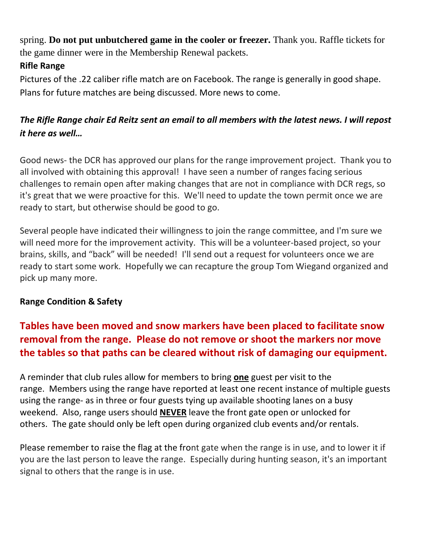spring. **Do not put unbutchered game in the cooler or freezer.** Thank you. Raffle tickets for the game dinner were in the Membership Renewal packets.

### **Rifle Range**

Pictures of the .22 caliber rifle match are on Facebook. The range is generally in good shape. Plans for future matches are being discussed. More news to come.

### *The Rifle Range chair Ed Reitz sent an email to all members with the latest news. I will repost it here as well…*

Good news- the DCR has approved our plans for the range improvement project. Thank you to all involved with obtaining this approval! I have seen a number of ranges facing serious challenges to remain open after making changes that are not in compliance with DCR regs, so it's great that we were proactive for this. We'll need to update the town permit once we are ready to start, but otherwise should be good to go.

Several people have indicated their willingness to join the range committee, and I'm sure we will need more for the improvement activity. This will be a volunteer-based project, so your brains, skills, and "back" will be needed! I'll send out a request for volunteers once we are ready to start some work. Hopefully we can recapture the group Tom Wiegand organized and pick up many more.

#### **Range Condition & Safety**

## **Tables have been moved and snow markers have been placed to facilitate snow removal from the range. Please do not remove or shoot the markers nor move the tables so that paths can be cleared without risk of damaging our equipment.**

A reminder that club rules allow for members to bring **one** guest per visit to the range. Members using the range have reported at least one recent instance of multiple guests using the range- as in three or four guests tying up available shooting lanes on a busy weekend. Also, range users should **NEVER** leave the front gate open or unlocked for others. The gate should only be left open during organized club events and/or rentals.

Please remember to raise the flag at the front gate when the range is in use, and to lower it if you are the last person to leave the range. Especially during hunting season, it's an important signal to others that the range is in use.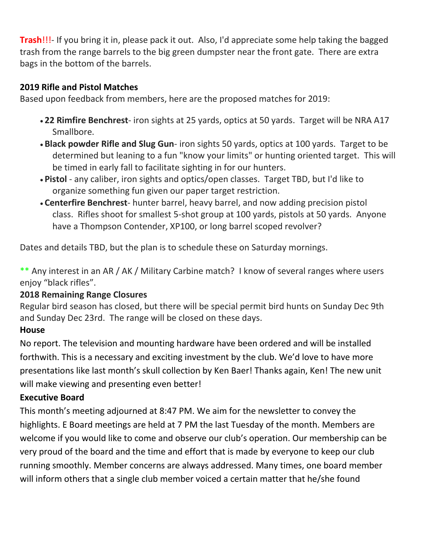**Trash**!!!- If you bring it in, please pack it out. Also, I'd appreciate some help taking the bagged trash from the range barrels to the big green dumpster near the front gate. There are extra bags in the bottom of the barrels.

#### **2019 Rifle and Pistol Matches**

Based upon feedback from members, here are the proposed matches for 2019:

- **22 Rimfire Benchrest** iron sights at 25 yards, optics at 50 yards. Target will be NRA A17 Smallbore.
- **Black powder Rifle and Slug Gun** iron sights 50 yards, optics at 100 yards. Target to be determined but leaning to a fun "know your limits" or hunting oriented target. This will be timed in early fall to facilitate sighting in for our hunters.
- **Pistol** any caliber, iron sights and optics/open classes. Target TBD, but I'd like to organize something fun given our paper target restriction.
- **Centerfire Benchrest** hunter barrel, heavy barrel, and now adding precision pistol class. Rifles shoot for smallest 5-shot group at 100 yards, pistols at 50 yards. Anyone have a Thompson Contender, XP100, or long barrel scoped revolver?

Dates and details TBD, but the plan is to schedule these on Saturday mornings.

\*\* Any interest in an AR / AK / Military Carbine match? I know of several ranges where users enjoy "black rifles".

#### **2018 Remaining Range Closures**

Regular bird season has closed, but there will be special permit bird hunts on Sunday Dec 9th and Sunday Dec 23rd. The range will be closed on these days.

#### **House**

No report. The television and mounting hardware have been ordered and will be installed forthwith. This is a necessary and exciting investment by the club. We'd love to have more presentations like last month's skull collection by Ken Baer! Thanks again, Ken! The new unit will make viewing and presenting even better!

#### **Executive Board**

This month's meeting adjourned at 8:47 PM. We aim for the newsletter to convey the highlights. E Board meetings are held at 7 PM the last Tuesday of the month. Members are welcome if you would like to come and observe our club's operation. Our membership can be very proud of the board and the time and effort that is made by everyone to keep our club running smoothly. Member concerns are always addressed. Many times, one board member will inform others that a single club member voiced a certain matter that he/she found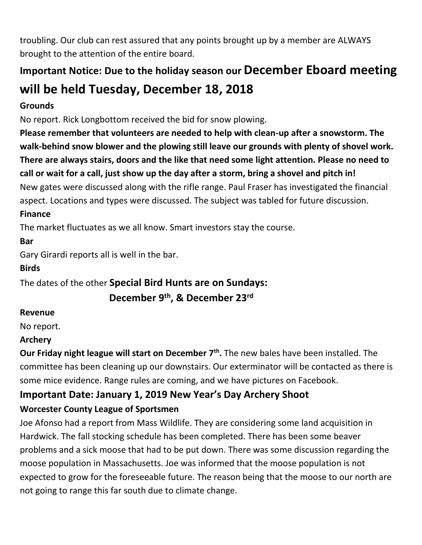troubling. Our club can rest assured that any points brought up by a member are ALWAYS brought to the attention of the entire board.

## **Important Notice: Due to the holiday season our December Eboard meeting will be held Tuesday, December 18, 2018**

#### **Grounds**

No report. Rick Longbottom received the bid for snow plowing.

**Please remember that volunteers are needed to help with clean-up after a snowstorm. The walk-behind snow blower and the plowing still leave our grounds with plenty of shovel work. There are always stairs, doors and the like that need some light attention. Please no need to call or wait for a call, just show up the day after a storm, bring a shovel and pitch in!** New gates were discussed along with the rifle range. Paul Fraser has investigated the financial aspect. Locations and types were discussed. The subject was tabled for future discussion.

#### **Finance**

The market fluctuates as we all know. Smart investors stay the course.

**Bar**

Gary Girardi reports all is well in the bar.

#### **Birds**

The dates of the other **Special Bird Hunts are on Sundays:**

 **December 9th, & December 23rd**

#### **Revenue**

No report.

#### **Archery**

**Our Friday night league will start on December 7th .** The new bales have been installed. The committee has been cleaning up our downstairs. Our exterminator will be contacted as there is some mice evidence. Range rules are coming, and we have pictures on Facebook.

## **Important Date: January 1, 2019 New Year's Day Archery Shoot**

#### **Worcester County League of Sportsmen**

Joe Afonso had a report from Mass Wildlife. They are considering some land acquisition in Hardwick. The fall stocking schedule has been completed. There has been some beaver problems and a sick moose that had to be put down. There was some discussion regarding the moose population in Massachusetts. Joe was informed that the moose population is not expected to grow for the foreseeable future. The reason being that the moose to our north are not going to range this far south due to climate change.